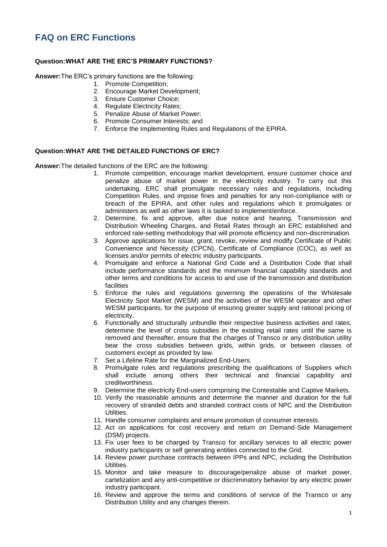## **FAQ on ERC Functions**

## **Question:WHAT ARE THE ERC'S PRIMARY FUNCTIONS?**

**Answer:**The ERC's primary functions are the following:

- 1. Promote Competition;
- 2. Encourage Market Development;
- 3. Ensure Customer Choice;
- 4. Regulate Electricity Rates;
- 5. Penalize Abuse of Market Power;
- 6. Promote Consumer Interests; and
- 7. Enforce the Implementing Rules and Regulations of the EPIRA.

## **Question:WHAT ARE THE DETAILED FUNCTIONS OF ERC?**

**Answer:**The detailed functions of the ERC are the following:

- 1. Promote competition, encourage market development, ensure customer choice and penalize abuse of market power in the electricity industry. To carry out this undertaking, ERC shall promulgate necessary rules and regulations, including Competition Rules, and impose fines and penalties for any non-compliance with or breach of the EPIRA, and other rules and regulations which it promulgates or administers as well as other laws it is tasked to implement/enforce.
- 2. Determine, fix and approve, after due notice and hearing, Transmission and Distribution Wheeling Charges, and Retail Rates through an ERC established and enforced rate-setting methodology that will promote efficiency and non-discrimination.
- 3. Approve applications for issue, grant, revoke, review and modify Certificate of Public Convenience and Necessity (CPCN), Certificate of Compliance (COC), as well as licenses and/or permits of electric industry participants.
- 4. Promulgate and enforce a National Grid Code and a Distribution Code that shall include performance standards and the minimum financial capability standards and other terms and conditions for access to and use of the transmission and distribution facilities
- 5. Enforce the rules and regulations governing the operations of the Wholesale Electricity Spot Market (WESM) and the activities of the WESM operator and other WESM participants, for the purpose of ensuring greater supply and rational pricing of electricity.
- 6. Functionally and structurally unbundle their respective business activities and rates; determine the level of cross subsidies in the existing retail rates until the same is removed and thereafter, ensure that the charges of Transco or any distribution utility bear the cross subsidies between grids, within grids, or between classes of customers except as provided by law.
- 7. Set a Lifeline Rate for the Marginalized End-Users.
- 8. Promulgate rules and regulations prescribing the qualifications of Suppliers which shall include among others their technical and financial capability and creditworthiness.
- 9. Determine the electricity End-users comprising the Contestable and Captive Markets.
- 10. Verify the reasonable amounts and determine the manner and duration for the full recovery of stranded debts and stranded contract costs of NPC and the Distribution Utilities.
- 11. Handle consumer complaints and ensure promotion of consumer interests.
- 12. Act on applications for cost recovery and return on Demand-Side Management (DSM) projects.
- 13. Fix user fees to be charged by Transco for ancillary services to all electric power industry participants or self generating entities connected to the Grid.
- 14. Review power purchase contracts between IPPs and NPC, including the Distribution Utilities.
- 15. Monitor and take measure to discourage/penalize abuse of market power, cartelization and any anti-competitive or discriminatory behavior by any electric power industry participant.
- 16. Review and approve the terms and conditions of service of the Transco or any Distribution Utility and any changes therein.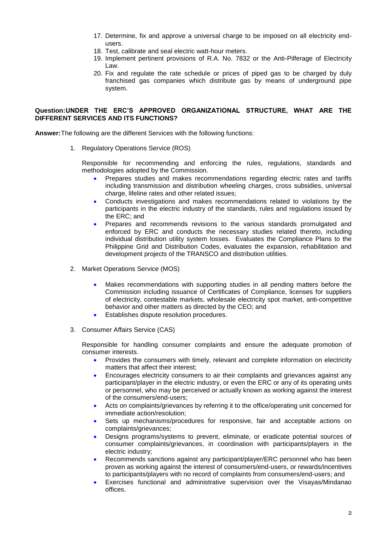- 17. Determine, fix and approve a universal charge to be imposed on all electricity endusers.
- 18. Test, calibrate and seal electric watt-hour meters.
- 19. Implement pertinent provisions of R.A. No. 7832 or the Anti-Pilferage of Electricity Law.
- 20. Fix and regulate the rate schedule or prices of piped gas to be charged by duly franchised gas companies which distribute gas by means of underground pipe system.

## **Question:UNDER THE ERC'S APPROVED ORGANIZATIONAL STRUCTURE, WHAT ARE THE DIFFERENT SERVICES AND ITS FUNCTIONS?**

**Answer:**The following are the different Services with the following functions:

1. Regulatory Operations Service (ROS)

Responsible for recommending and enforcing the rules, regulations, standards and methodologies adopted by the Commission.

- Prepares studies and makes recommendations regarding electric rates and tariffs including transmission and distribution wheeling charges, cross subsidies, universal charge, lifeline rates and other related issues;
- Conducts investigations and makes recommendations related to violations by the participants in the electric industry of the standards, rules and regulations issued by the ERC; and
- Prepares and recommends revisions to the various standards promulgated and enforced by ERC and conducts the necessary studies related thereto, including individual distribution utility system losses. Evaluates the Compliance Plans to the Philippine Grid and Distribution Codes, evaluates the expansion, rehabilitation and development projects of the TRANSCO and distribution utilities.
- 2. Market Operations Service (MOS)
	- Makes recommendations with supporting studies in all pending matters before the Commission including issuance of Certificates of Compliance, licenses for suppliers of electricity, contestable markets, wholesale electricity spot market, anti-competitive behavior and other matters as directed by the CEO; and
	- Establishes dispute resolution procedures.
- 3. Consumer Affairs Service (CAS)

Responsible for handling consumer complaints and ensure the adequate promotion of consumer interests.

- Provides the consumers with timely, relevant and complete information on electricity matters that affect their interest;
- Encourages electricity consumers to air their complaints and grievances against any participant/player in the electric industry, or even the ERC or any of its operating units or personnel, who may be perceived or actually known as working against the interest of the consumers/end-users;
- Acts on complaints/grievances by referring it to the office/operating unit concerned for immediate action/resolution;
- Sets up mechanisms/procedures for responsive, fair and acceptable actions on complaints/grievances;
- Designs programs/systems to prevent, eliminate, or eradicate potential sources of consumer complaints/grievances, in coordination with participants/players in the electric industry;
- Recommends sanctions against any participant/player/ERC personnel who has been proven as working against the interest of consumers/end-users, or rewards/incentives to participants/players with no record of complaints from consumers/end-users; and
- Exercises functional and administrative supervision over the Visayas/Mindanao offices.